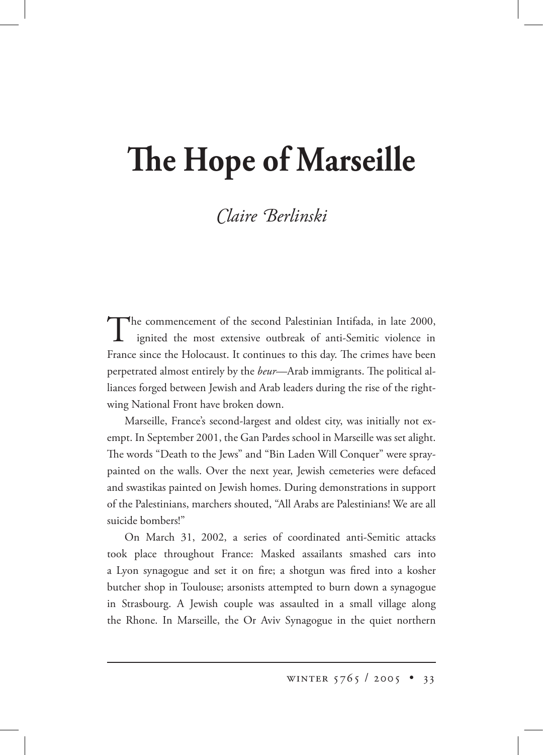## **The Hope of Marseille**

## *Claire Berlinski*

The commencement of the second Palestinian Intifada, in late 2000, ignited the most extensive outbreak of anti-Semitic violence in France since the Holocaust. It continues to this day. The crimes have been perpetrated almost entirely by the *beur*—Arab immigrants. The political alliances forged between Jewish and Arab leaders during the rise of the rightwing National Front have broken down.

Marseille, France's second-largest and oldest city, was initially not exempt. In September 2001, the Gan Pardes school in Marseille was set alight. The words "Death to the Jews" and "Bin Laden Will Conquer" were spraypainted on the walls. Over the next year, Jewish cemeteries were defaced and swastikas painted on Jewish homes. During demonstrations in support of the Palestinians, marchers shouted, "All Arabs are Palestinians! We are all suicide bombers!"

On March 31, 2002, a series of coordinated anti-Semitic attacks took place throughout France: Masked assailants smashed cars into a Lyon synagogue and set it on fire; a shotgun was fired into a kosher butcher shop in Toulouse; arsonists attempted to burn down a synagogue in Strasbourg. A Jewish couple was assaulted in a small village along the Rhone. In Marseille, the Or Aviv Synagogue in the quiet northern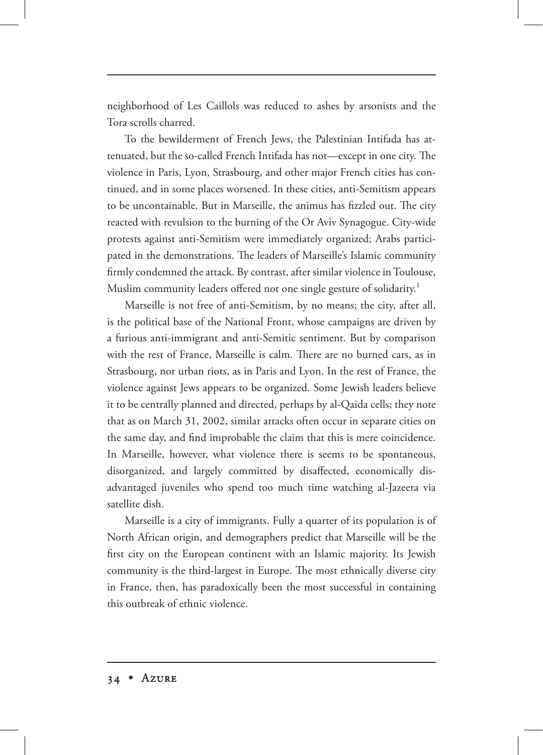neighborhood of Les Caillols was reduced to ashes by arsonists and the Tora scrolls charred.

To the bewilderment of French Jews, the Palestinian Intifada has attenuated, but the so-called French Intifada has not—except in one city. The violence in Paris, Lyon, Strasbourg, and other major French cities has continued, and in some places worsened. In these cities, anti-Semitism appears to be uncontainable. But in Marseille, the animus has fizzled out. The city reacted with revulsion to the burning of the Or Aviv Synagogue. City-wide protests against anti-Semitism were immediately organized; Arabs participated in the demonstrations. The leaders of Marseille's Islamic community firmly condemned the attack. By contrast, after similar violence in Toulouse, Muslim community leaders offered not one single gesture of solidarity.<sup>1</sup>

Marseille is not free of anti-Semitism, by no means; the city, after all, is the political base of the National Front, whose campaigns are driven by a furious anti-immigrant and anti-Semitic sentiment. But by comparison with the rest of France, Marseille is calm. There are no burned cars, as in Strasbourg, nor urban riots, as in Paris and Lyon. In the rest of France, the violence against Jews appears to be organized. Some Jewish leaders believe it to be centrally planned and directed, perhaps by al-Qaida cells; they note that as on March 31, 2002, similar attacks often occur in separate cities on the same day, and find improbable the claim that this is mere coincidence. In Marseille, however, what violence there is seems to be spontaneous, disorganized, and largely committed by disaffected, economically disadvantaged juveniles who spend too much time watching al-Jazeera via satellite dish.

Marseille is a city of immigrants. Fully a quarter of its population is of North African origin, and demographers predict that Marseille will be the first city on the European continent with an Islamic majority. Its Jewish community is the third-largest in Europe. The most ethnically diverse city in France, then, has paradoxically been the most successful in containing this outbreak of ethnic violence.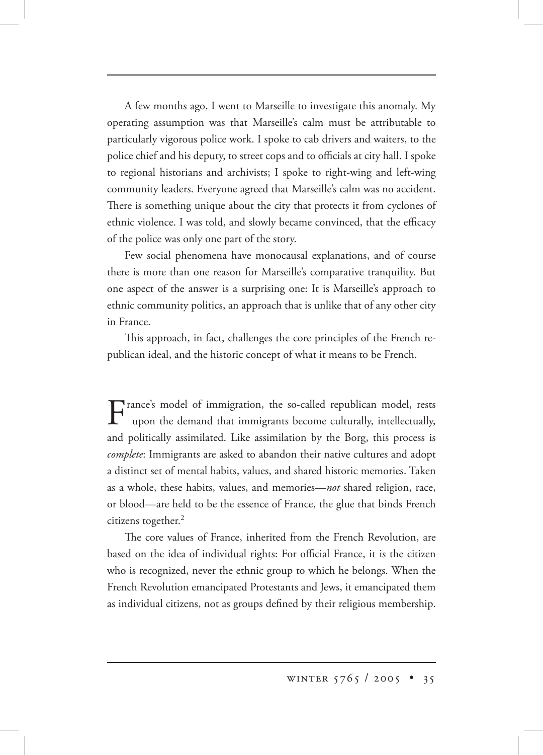A few months ago, I went to Marseille to investigate this anomaly. My operating assumption was that Marseille's calm must be attributable to particularly vigorous police work. I spoke to cab drivers and waiters, to the police chief and his deputy, to street cops and to officials at city hall. I spoke to regional historians and archivists; I spoke to right-wing and left-wing community leaders. Everyone agreed that Marseille's calm was no accident. There is something unique about the city that protects it from cyclones of ethnic violence. I was told, and slowly became convinced, that the efficacy of the police was only one part of the story.

Few social phenomena have monocausal explanations, and of course there is more than one reason for Marseille's comparative tranquility. But one aspect of the answer is a surprising one: It is Marseille's approach to ethnic community politics, an approach that is unlike that of any other city in France.

This approach, in fact, challenges the core principles of the French republican ideal, and the historic concept of what it means to be French.

France's model of immigration, the so-called republican model, rests upon the demand that immigrants become culturally, intellectually, and politically assimilated. Like assimilation by the Borg, this process is *complete*: Immigrants are asked to abandon their native cultures and adopt a distinct set of mental habits, values, and shared historic memories. Taken as a whole, these habits, values, and memories—*not* shared religion, race, or blood—are held to be the essence of France, the glue that binds French citizens together.<sup>2</sup>

The core values of France, inherited from the French Revolution, are based on the idea of individual rights: For official France, it is the citizen who is recognized, never the ethnic group to which he belongs. When the French Revolution emancipated Protestants and Jews, it emancipated them as individual citizens, not as groups defined by their religious membership.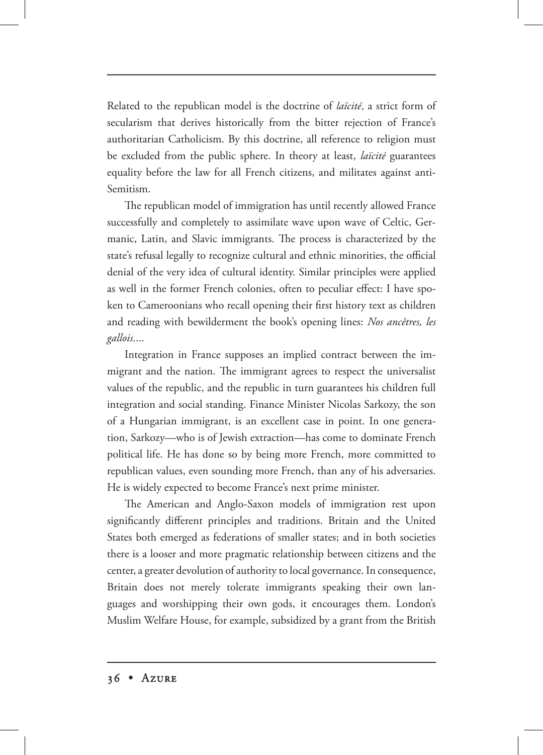Related to the republican model is the doctrine of *laïcité*, a strict form of secularism that derives historically from the bitter rejection of France's authoritarian Catholicism. By this doctrine, all reference to religion must be excluded from the public sphere. In theory at least, *laïcité* guarantees equality before the law for all French citizens, and militates against anti-Semitism.

The republican model of immigration has until recently allowed France successfully and completely to assimilate wave upon wave of Celtic, Germanic, Latin, and Slavic immigrants. The process is characterized by the state's refusal legally to recognize cultural and ethnic minorities, the official denial of the very idea of cultural identity. Similar principles were applied as well in the former French colonies, often to peculiar effect: I have spoken to Cameroonians who recall opening their first history text as children and reading with bewilderment the book's opening lines: *Nos ancêtres, les gallois*....

Integration in France supposes an implied contract between the immigrant and the nation. The immigrant agrees to respect the universalist values of the republic, and the republic in turn guarantees his children full integration and social standing. Finance Minister Nicolas Sarkozy, the son of a Hungarian immigrant, is an excellent case in point. In one generation, Sarkozy—who is of Jewish extraction—has come to dominate French political life. He has done so by being more French, more committed to republican values, even sounding more French, than any of his adversaries. He is widely expected to become France's next prime minister.

The American and Anglo-Saxon models of immigration rest upon significantly different principles and traditions. Britain and the United States both emerged as federations of smaller states; and in both societies there is a looser and more pragmatic relationship between citizens and the center, a greater devolution of authority to local governance. In consequence, Britain does not merely tolerate immigrants speaking their own languages and worshipping their own gods, it encourages them. London's Muslim Welfare House, for example, subsidized by a grant from the British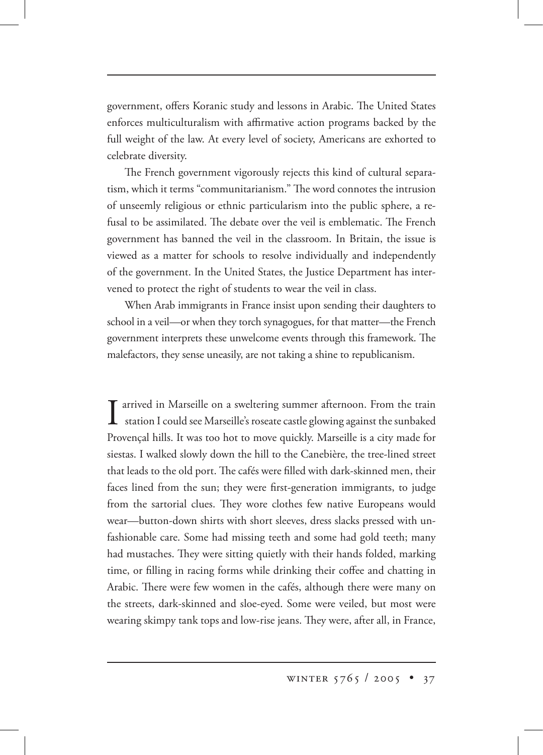government, offers Koranic study and lessons in Arabic. The United States enforces multiculturalism with affirmative action programs backed by the full weight of the law. At every level of society, Americans are exhorted to celebrate diversity.

The French government vigorously rejects this kind of cultural separatism, which it terms "communitarianism." The word connotes the intrusion of unseemly religious or ethnic particularism into the public sphere, a refusal to be assimilated. The debate over the veil is emblematic. The French government has banned the veil in the classroom. In Britain, the issue is viewed as a matter for schools to resolve individually and independently of the government. In the United States, the Justice Department has intervened to protect the right of students to wear the veil in class.

When Arab immigrants in France insist upon sending their daughters to school in a veil—or when they torch synagogues, for that matter—the French government interprets these unwelcome events through this framework. The malefactors, they sense uneasily, are not taking a shine to republicanism.

I arrived in Marseille on a sweltering summer afternoon. From the train station I could see Marseille's roseate castle glowing against the sunbaked Provençal hills. It was too hot to move quickly. Marseille is a city made for siestas. I walked slowly down the hill to the Canebière, the tree-lined street that leads to the old port. The cafés were filled with dark-skinned men, their faces lined from the sun; they were first-generation immigrants, to judge from the sartorial clues. They wore clothes few native Europeans would wear—button-down shirts with short sleeves, dress slacks pressed with unfashionable care. Some had missing teeth and some had gold teeth; many had mustaches. They were sitting quietly with their hands folded, marking time, or filling in racing forms while drinking their coffee and chatting in Arabic. There were few women in the cafés, although there were many on the streets, dark-skinned and sloe-eyed. Some were veiled, but most were wearing skimpy tank tops and low-rise jeans. They were, after all, in France,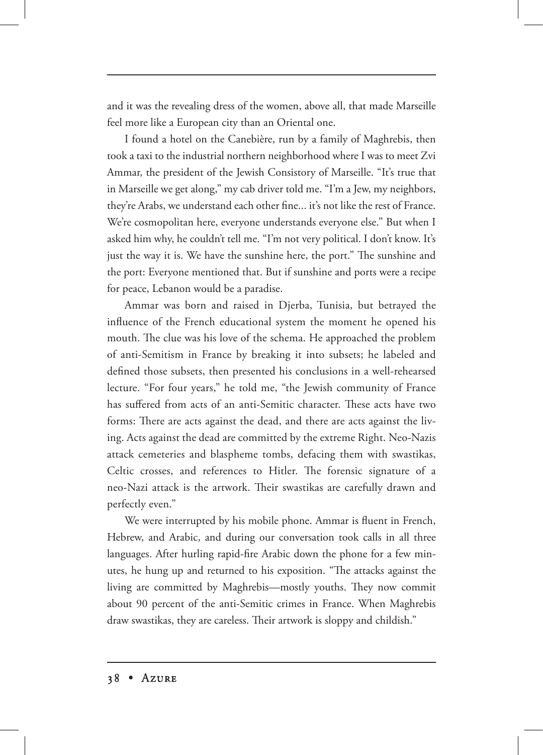and it was the revealing dress of the women, above all, that made Marseille feel more like a European city than an Oriental one.

I found a hotel on the Canebière, run by a family of Maghrebis, then took a taxi to the industrial northern neighborhood where I was to meet Zvi Ammar, the president of the Jewish Consistory of Marseille. "It's true that in Marseille we get along," my cab driver told me. "I'm a Jew, my neighbors, they're Arabs, we understand each other fine... it's not like the rest of France. We're cosmopolitan here, everyone understands everyone else." But when I asked him why, he couldn't tell me. "I'm not very political. I don't know. It's just the way it is. We have the sunshine here, the port." The sunshine and the port: Everyone mentioned that. But if sunshine and ports were a recipe for peace, Lebanon would be a paradise.

Ammar was born and raised in Djerba, Tunisia, but betrayed the influence of the French educational system the moment he opened his mouth. The clue was his love of the schema. He approached the problem of anti-Semitism in France by breaking it into subsets; he labeled and defined those subsets, then presented his conclusions in a well-rehearsed lecture. "For four years," he told me, "the Jewish community of France has suffered from acts of an anti-Semitic character. These acts have two forms: There are acts against the dead, and there are acts against the living. Acts against the dead are committed by the extreme Right. Neo-Nazis attack cemeteries and blaspheme tombs, defacing them with swastikas, Celtic crosses, and references to Hitler. The forensic signature of a neo-Nazi attack is the artwork. Their swastikas are carefully drawn and perfectly even."

We were interrupted by his mobile phone. Ammar is fluent in French, Hebrew, and Arabic, and during our conversation took calls in all three languages. After hurling rapid-fire Arabic down the phone for a few minutes, he hung up and returned to his exposition. "The attacks against the living are committed by Maghrebis—mostly youths. They now commit about 90 percent of the anti-Semitic crimes in France. When Maghrebis draw swastikas, they are careless. Their artwork is sloppy and childish."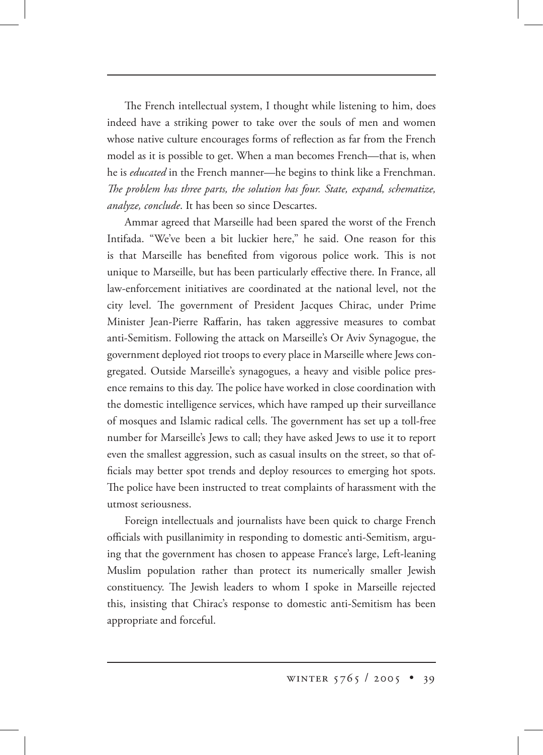The French intellectual system, I thought while listening to him, does indeed have a striking power to take over the souls of men and women whose native culture encourages forms of reflection as far from the French model as it is possible to get. When a man becomes French—that is, when he is *educated* in the French manner—he begins to think like a Frenchman. *e problem has three parts, the solution has four. State, expand, schematize, analyze, conclude*. It has been so since Descartes.

Ammar agreed that Marseille had been spared the worst of the French Intifada. "We've been a bit luckier here," he said. One reason for this is that Marseille has benefited from vigorous police work. This is not unique to Marseille, but has been particularly effective there. In France, all law-enforcement initiatives are coordinated at the national level, not the city level. The government of President Jacques Chirac, under Prime Minister Jean-Pierre Raffarin, has taken aggressive measures to combat anti-Semitism. Following the attack on Marseille's Or Aviv Synagogue, the government deployed riot troops to every place in Marseille where Jews congregated. Outside Marseille's synagogues, a heavy and visible police presence remains to this day. The police have worked in close coordination with the domestic intelligence services, which have ramped up their surveillance of mosques and Islamic radical cells. The government has set up a toll-free number for Marseille's Jews to call; they have asked Jews to use it to report even the smallest aggression, such as casual insults on the street, so that officials may better spot trends and deploy resources to emerging hot spots. The police have been instructed to treat complaints of harassment with the utmost seriousness.

Foreign intellectuals and journalists have been quick to charge French officials with pusillanimity in responding to domestic anti-Semitism, arguing that the government has chosen to appease France's large, Left-leaning Muslim population rather than protect its numerically smaller Jewish constituency. The Jewish leaders to whom I spoke in Marseille rejected this, insisting that Chirac's response to domestic anti-Semitism has been appropriate and forceful.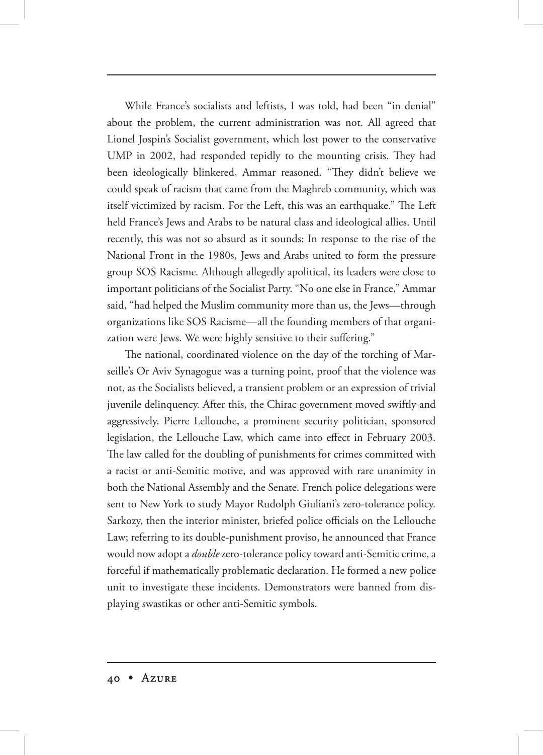While France's socialists and leftists, I was told, had been "in denial" about the problem, the current administration was not. All agreed that Lionel Jospin's Socialist government, which lost power to the conservative UMP in 2002, had responded tepidly to the mounting crisis. They had been ideologically blinkered, Ammar reasoned. "They didn't believe we could speak of racism that came from the Maghreb community, which was itself victimized by racism. For the Left, this was an earthquake." The Left held France's Jews and Arabs to be natural class and ideological allies. Until recently, this was not so absurd as it sounds: In response to the rise of the National Front in the 1980s, Jews and Arabs united to form the pressure group SOS Racisme*.* Although allegedly apolitical, its leaders were close to important politicians of the Socialist Party. "No one else in France," Ammar said, "had helped the Muslim community more than us, the Jews—through organizations like SOS Racisme—all the founding members of that organization were Jews. We were highly sensitive to their suffering."

The national, coordinated violence on the day of the torching of Marseille's Or Aviv Synagogue was a turning point, proof that the violence was not, as the Socialists believed, a transient problem or an expression of trivial juvenile delinquency. After this, the Chirac government moved swiftly and aggressively. Pierre Lellouche, a prominent security politician, sponsored legislation, the Lellouche Law, which came into effect in February 2003. The law called for the doubling of punishments for crimes committed with a racist or anti-Semitic motive, and was approved with rare unanimity in both the National Assembly and the Senate. French police delegations were sent to New York to study Mayor Rudolph Giuliani's zero-tolerance policy. Sarkozy, then the interior minister, briefed police officials on the Lellouche Law; referring to its double-punishment proviso, he announced that France would now adopt a *double* zero-tolerance policy toward anti-Semitic crime, a forceful if mathematically problematic declaration. He formed a new police unit to investigate these incidents. Demonstrators were banned from displaying swastikas or other anti-Semitic symbols.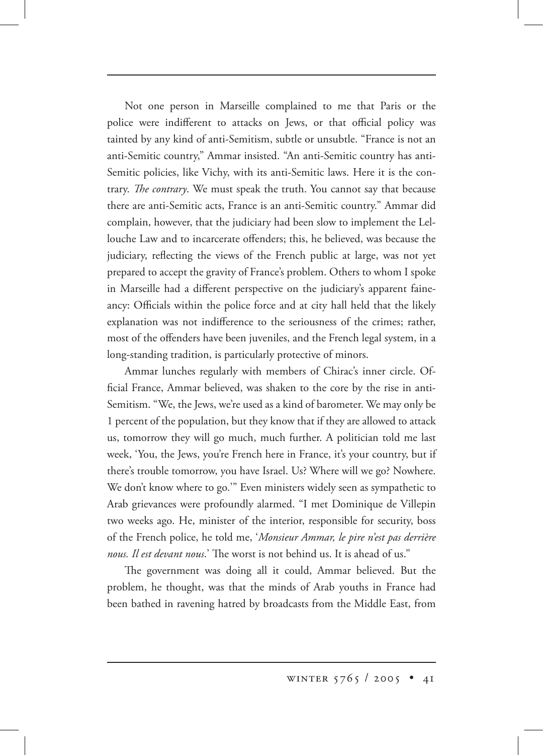Not one person in Marseille complained to me that Paris or the police were indifferent to attacks on Jews, or that official policy was tainted by any kind of anti-Semitism, subtle or unsubtle. "France is not an anti-Semitic country," Ammar insisted. "An anti-Semitic country has anti-Semitic policies, like Vichy, with its anti-Semitic laws. Here it is the contrary. *The contrary*. We must speak the truth. You cannot say that because there are anti-Semitic acts, France is an anti-Semitic country." Ammar did complain, however, that the judiciary had been slow to implement the Lellouche Law and to incarcerate offenders; this, he believed, was because the judiciary, reflecting the views of the French public at large, was not yet prepared to accept the gravity of France's problem. Others to whom I spoke in Marseille had a different perspective on the judiciary's apparent faineancy: Officials within the police force and at city hall held that the likely explanation was not indifference to the seriousness of the crimes; rather, most of the offenders have been juveniles, and the French legal system, in a long-standing tradition, is particularly protective of minors.

Ammar lunches regularly with members of Chirac's inner circle. Official France, Ammar believed, was shaken to the core by the rise in anti-Semitism. "We, the Jews, we're used as a kind of barometer. We may only be 1 percent of the population, but they know that if they are allowed to attack us, tomorrow they will go much, much further. A politician told me last week, 'You, the Jews, you're French here in France, it's your country, but if there's trouble tomorrow, you have Israel. Us? Where will we go? Nowhere. We don't know where to go.'" Even ministers widely seen as sympathetic to Arab grievances were profoundly alarmed. "I met Dominique de Villepin two weeks ago. He, minister of the interior, responsible for security, boss of the French police, he told me, '*Monsieur Ammar, le pire n'est pas derrière*  nous. Il est devant nous.' The worst is not behind us. It is ahead of us."

The government was doing all it could, Ammar believed. But the problem, he thought, was that the minds of Arab youths in France had been bathed in ravening hatred by broadcasts from the Middle East, from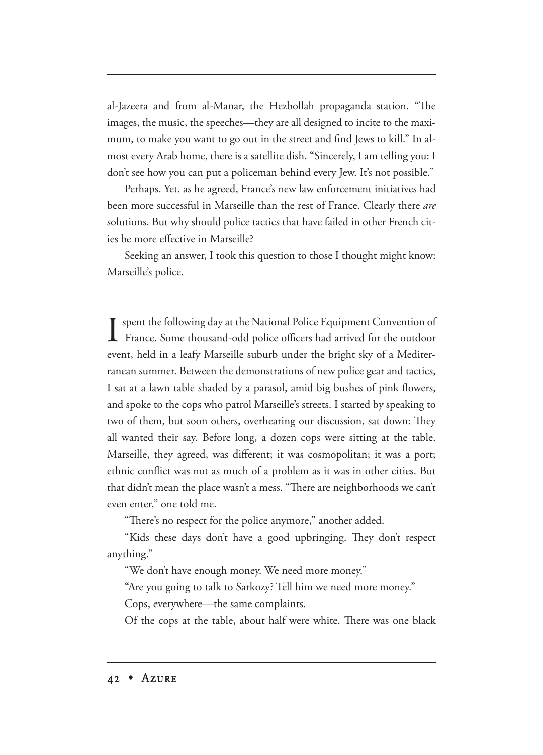al-Jazeera and from al-Manar, the Hezbollah propaganda station. "The images, the music, the speeches—they are all designed to incite to the maximum, to make you want to go out in the street and find Jews to kill." In almost every Arab home, there is a satellite dish. "Sincerely, I am telling you: I don't see how you can put a policeman behind every Jew. It's not possible."

Perhaps. Yet, as he agreed, France's new law enforcement initiatives had been more successful in Marseille than the rest of France. Clearly there *are*  solutions. But why should police tactics that have failed in other French cities be more effective in Marseille?

Seeking an answer, I took this question to those I thought might know: Marseille's police.

Spent the following day at the National Police Equipment Convention of<br>France. Some thousand-odd police officers had arrived for the outdoor France. Some thousand-odd police officers had arrived for the outdoor event, held in a leafy Marseille suburb under the bright sky of a Mediterranean summer. Between the demonstrations of new police gear and tactics, I sat at a lawn table shaded by a parasol, amid big bushes of pink flowers, and spoke to the cops who patrol Marseille's streets. I started by speaking to two of them, but soon others, overhearing our discussion, sat down: They all wanted their say. Before long, a dozen cops were sitting at the table. Marseille, they agreed, was different; it was cosmopolitan; it was a port; ethnic conflict was not as much of a problem as it was in other cities. But that didn't mean the place wasn't a mess. "There are neighborhoods we can't even enter," one told me.

"There's no respect for the police anymore," another added.

"Kids these days don't have a good upbringing. They don't respect anything."

"We don't have enough money. We need more money."

"Are you going to talk to Sarkozy? Tell him we need more money."

Cops, everywhere—the same complaints.

Of the cops at the table, about half were white. There was one black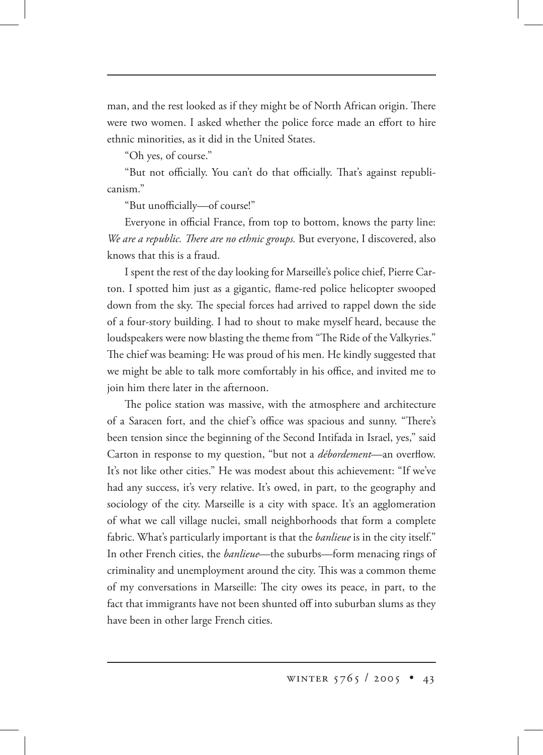man, and the rest looked as if they might be of North African origin. There were two women. I asked whether the police force made an effort to hire ethnic minorities, as it did in the United States.

"Oh yes, of course."

"But not officially. You can't do that officially. That's against republicanism."

"But unofficially—of course!"

Everyone in official France, from top to bottom, knows the party line: *We are a republic. There are no ethnic groups.* But everyone, I discovered, also knows that this is a fraud.

I spent the rest of the day looking for Marseille's police chief, Pierre Carton. I spotted him just as a gigantic, flame-red police helicopter swooped down from the sky. The special forces had arrived to rappel down the side of a four-story building. I had to shout to make myself heard, because the loudspeakers were now blasting the theme from "The Ride of the Valkyries." The chief was beaming: He was proud of his men. He kindly suggested that we might be able to talk more comfortably in his office, and invited me to join him there later in the afternoon.

The police station was massive, with the atmosphere and architecture of a Saracen fort, and the chief's office was spacious and sunny. "There's been tension since the beginning of the Second Intifada in Israel, yes," said Carton in response to my question, "but not a *débordement*—an overflow. It's not like other cities." He was modest about this achievement: "If we've had any success, it's very relative. It's owed, in part, to the geography and sociology of the city. Marseille is a city with space. It's an agglomeration of what we call village nuclei, small neighborhoods that form a complete fabric. What's particularly important is that the *banlieue* is in the city itself." In other French cities, the *banlieue*—the suburbs—form menacing rings of criminality and unemployment around the city. This was a common theme of my conversations in Marseille: The city owes its peace, in part, to the fact that immigrants have not been shunted off into suburban slums as they have been in other large French cities.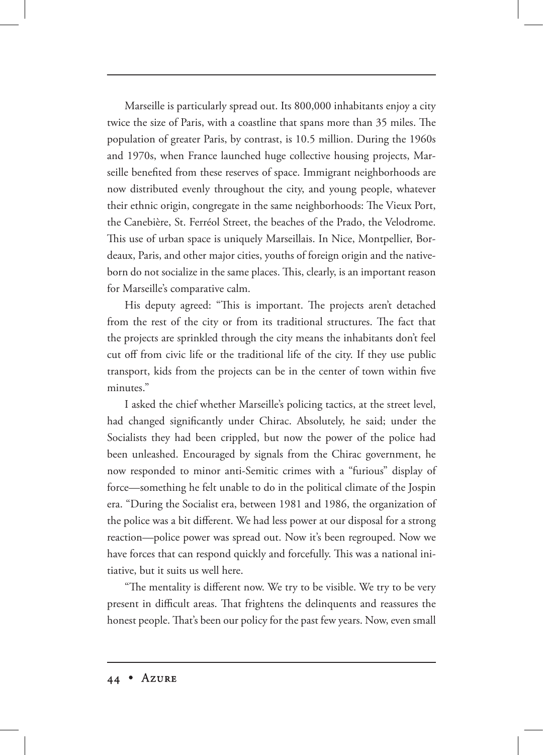Marseille is particularly spread out. Its 800,000 inhabitants enjoy a city twice the size of Paris, with a coastline that spans more than 35 miles. The population of greater Paris, by contrast, is 10.5 million. During the 1960s and 1970s, when France launched huge collective housing projects, Marseille benefited from these reserves of space. Immigrant neighborhoods are now distributed evenly throughout the city, and young people, whatever their ethnic origin, congregate in the same neighborhoods: The Vieux Port, the Canebière, St. Ferréol Street, the beaches of the Prado, the Velodrome. This use of urban space is uniquely Marseillais. In Nice, Montpellier, Bordeaux, Paris, and other major cities, youths of foreign origin and the nativeborn do not socialize in the same places. This, clearly, is an important reason for Marseille's comparative calm.

His deputy agreed: "This is important. The projects aren't detached from the rest of the city or from its traditional structures. The fact that the projects are sprinkled through the city means the inhabitants don't feel cut off from civic life or the traditional life of the city. If they use public transport, kids from the projects can be in the center of town within five minutes."

I asked the chief whether Marseille's policing tactics, at the street level, had changed significantly under Chirac. Absolutely, he said; under the Socialists they had been crippled, but now the power of the police had been unleashed. Encouraged by signals from the Chirac government, he now responded to minor anti-Semitic crimes with a "furious" display of force—something he felt unable to do in the political climate of the Jospin era. "During the Socialist era, between 1981 and 1986, the organization of the police was a bit different. We had less power at our disposal for a strong reaction—police power was spread out. Now it's been regrouped. Now we have forces that can respond quickly and forcefully. This was a national initiative, but it suits us well here.

"The mentality is different now. We try to be visible. We try to be very present in difficult areas. That frightens the delinquents and reassures the honest people. That's been our policy for the past few years. Now, even small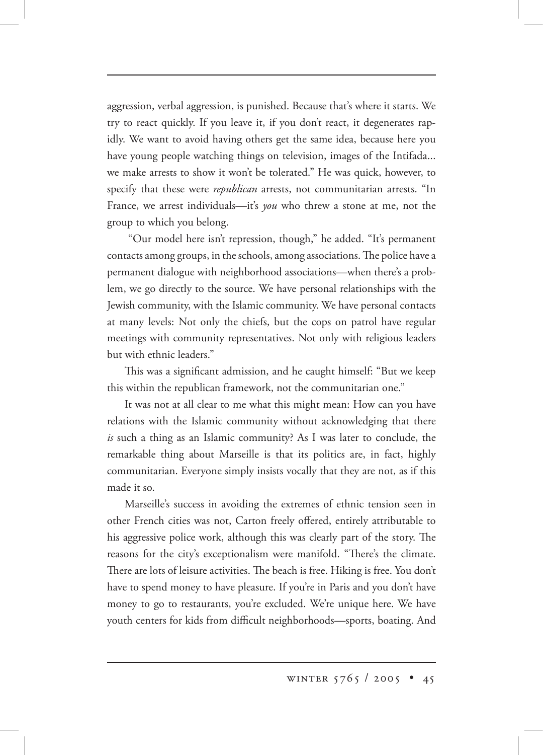aggression, verbal aggression, is punished. Because that's where it starts. We try to react quickly. If you leave it, if you don't react, it degenerates rapidly. We want to avoid having others get the same idea, because here you have young people watching things on television, images of the Intifada... we make arrests to show it won't be tolerated." He was quick, however, to specify that these were *republican* arrests, not communitarian arrests. "In France, we arrest individuals—it's *you* who threw a stone at me, not the group to which you belong.

 "Our model here isn't repression, though," he added. "It's permanent contacts among groups, in the schools, among associations. The police have a permanent dialogue with neighborhood associations—when there's a problem, we go directly to the source. We have personal relationships with the Jewish community, with the Islamic community. We have personal contacts at many levels: Not only the chiefs, but the cops on patrol have regular meetings with community representatives. Not only with religious leaders but with ethnic leaders."

This was a significant admission, and he caught himself: "But we keep this within the republican framework, not the communitarian one."

It was not at all clear to me what this might mean: How can you have relations with the Islamic community without acknowledging that there *is* such a thing as an Islamic community? As I was later to conclude, the remarkable thing about Marseille is that its politics are, in fact, highly communitarian. Everyone simply insists vocally that they are not, as if this made it so.

Marseille's success in avoiding the extremes of ethnic tension seen in other French cities was not, Carton freely offered, entirely attributable to his aggressive police work, although this was clearly part of the story. The reasons for the city's exceptionalism were manifold. "There's the climate. There are lots of leisure activities. The beach is free. Hiking is free. You don't have to spend money to have pleasure. If you're in Paris and you don't have money to go to restaurants, you're excluded. We're unique here. We have youth centers for kids from difficult neighborhoods—sports, boating. And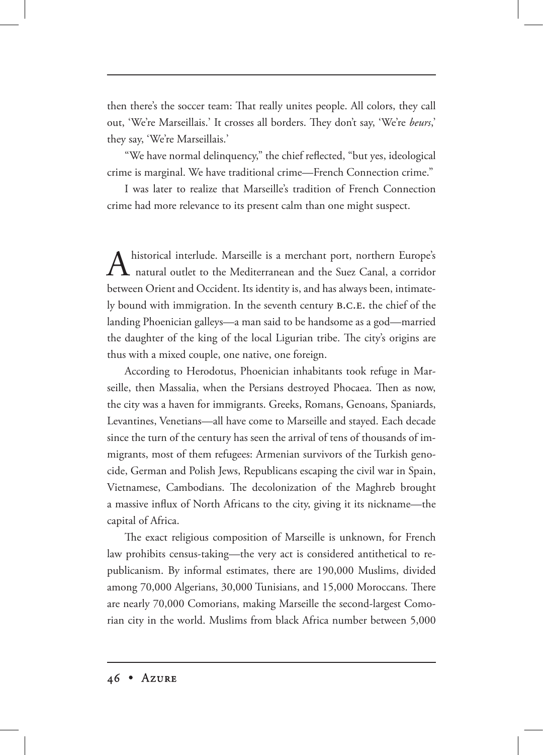then there's the soccer team: That really unites people. All colors, they call out, 'We're Marseillais.' It crosses all borders. They don't say, 'We're *beurs*,' they say, 'We're Marseillais.'

"We have normal delinquency," the chief reflected, "but yes, ideological crime is marginal. We have traditional crime—French Connection crime."

I was later to realize that Marseille's tradition of French Connection crime had more relevance to its present calm than one might suspect.

A historical interlude. Marseille is a merchant port, northern Europe's  $\Box$  natural outlet to the Mediterranean and the Suez Canal, a corridor between Orient and Occident. Its identity is, and has always been, intimately bound with immigration. In the seventh century B.C.E. the chief of the landing Phoenician galleys—a man said to be handsome as a god—married the daughter of the king of the local Ligurian tribe. The city's origins are thus with a mixed couple, one native, one foreign.

According to Herodotus, Phoenician inhabitants took refuge in Marseille, then Massalia, when the Persians destroyed Phocaea. Then as now, the city was a haven for immigrants. Greeks, Romans, Genoans, Spaniards, Levantines, Venetians—all have come to Marseille and stayed. Each decade since the turn of the century has seen the arrival of tens of thousands of immigrants, most of them refugees: Armenian survivors of the Turkish genocide, German and Polish Jews, Republicans escaping the civil war in Spain, Vietnamese, Cambodians. The decolonization of the Maghreb brought a massive influx of North Africans to the city, giving it its nickname—the capital of Africa.

The exact religious composition of Marseille is unknown, for French law prohibits census-taking—the very act is considered antithetical to republicanism. By informal estimates, there are 190,000 Muslims, divided among 70,000 Algerians, 30,000 Tunisians, and 15,000 Moroccans. There are nearly 70,000 Comorians, making Marseille the second-largest Comorian city in the world. Muslims from black Africa number between 5,000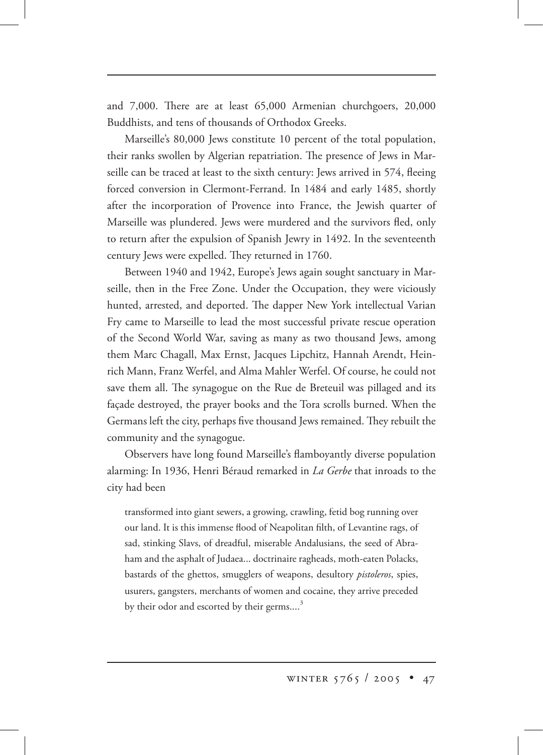and 7,000. There are at least 65,000 Armenian churchgoers, 20,000 Buddhists, and tens of thousands of Orthodox Greeks.

Marseille's 80,000 Jews constitute 10 percent of the total population, their ranks swollen by Algerian repatriation. The presence of Jews in Marseille can be traced at least to the sixth century: Jews arrived in 574, fleeing forced conversion in Clermont-Ferrand. In 1484 and early 1485, shortly after the incorporation of Provence into France, the Jewish quarter of Marseille was plundered. Jews were murdered and the survivors fled, only to return after the expulsion of Spanish Jewry in 1492. In the seventeenth century Jews were expelled. They returned in 1760.

Between 1940 and 1942, Europe's Jews again sought sanctuary in Marseille, then in the Free Zone. Under the Occupation, they were viciously hunted, arrested, and deported. The dapper New York intellectual Varian Fry came to Marseille to lead the most successful private rescue operation of the Second World War, saving as many as two thousand Jews, among them Marc Chagall, Max Ernst, Jacques Lipchitz, Hannah Arendt, Heinrich Mann, Franz Werfel, and Alma Mahler Werfel. Of course, he could not save them all. The synagogue on the Rue de Breteuil was pillaged and its façade destroyed, the prayer books and the Tora scrolls burned. When the Germans left the city, perhaps five thousand Jews remained. They rebuilt the community and the synagogue.

Observers have long found Marseille's flamboyantly diverse population alarming: In 1936, Henri Béraud remarked in *La Gerbe* that inroads to the city had been

transformed into giant sewers, a growing, crawling, fetid bog running over our land. It is this immense flood of Neapolitan filth, of Levantine rags, of sad, stinking Slavs, of dreadful, miserable Andalusians, the seed of Abraham and the asphalt of Judaea... doctrinaire ragheads, moth-eaten Polacks, bastards of the ghettos, smugglers of weapons, desultory *pistoleros*, spies, usurers, gangsters, merchants of women and cocaine, they arrive preceded by their odor and escorted by their germs....<sup>3</sup>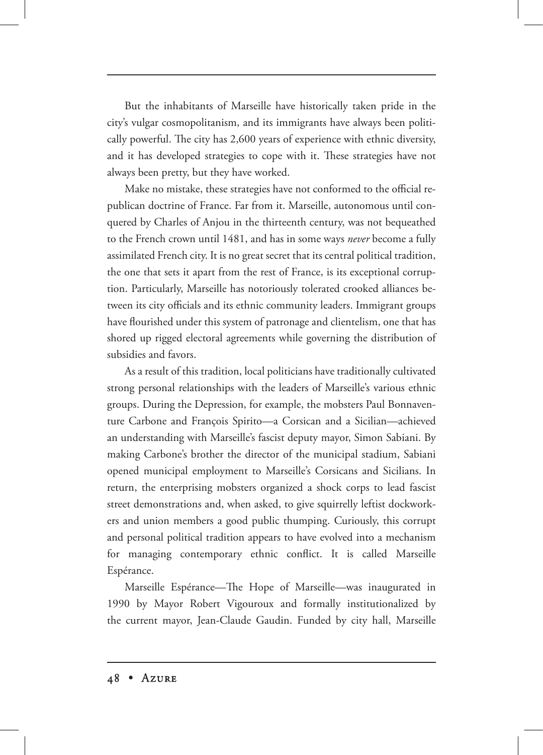But the inhabitants of Marseille have historically taken pride in the city's vulgar cosmopolitanism, and its immigrants have always been politically powerful. The city has 2,600 years of experience with ethnic diversity, and it has developed strategies to cope with it. These strategies have not always been pretty, but they have worked.

Make no mistake, these strategies have not conformed to the official republican doctrine of France. Far from it. Marseille, autonomous until conquered by Charles of Anjou in the thirteenth century, was not bequeathed to the French crown until 1481, and has in some ways *never* become a fully assimilated French city. It is no great secret that its central political tradition, the one that sets it apart from the rest of France, is its exceptional corruption. Particularly, Marseille has notoriously tolerated crooked alliances between its city officials and its ethnic community leaders. Immigrant groups have flourished under this system of patronage and clientelism, one that has shored up rigged electoral agreements while governing the distribution of subsidies and favors.

As a result of this tradition, local politicians have traditionally cultivated strong personal relationships with the leaders of Marseille's various ethnic groups. During the Depression, for example, the mobsters Paul Bonnaventure Carbone and François Spirito—a Corsican and a Sicilian—achieved an understanding with Marseille's fascist deputy mayor, Simon Sabiani. By making Carbone's brother the director of the municipal stadium, Sabiani opened municipal employment to Marseille's Corsicans and Sicilians. In return, the enterprising mobsters organized a shock corps to lead fascist street demonstrations and, when asked, to give squirrelly leftist dockworkers and union members a good public thumping. Curiously, this corrupt and personal political tradition appears to have evolved into a mechanism for managing contemporary ethnic conflict. It is called Marseille Espérance.

Marseille Espérance—The Hope of Marseille—was inaugurated in 1990 by Mayor Robert Vigouroux and formally institutionalized by the current mayor, Jean-Claude Gaudin. Funded by city hall, Marseille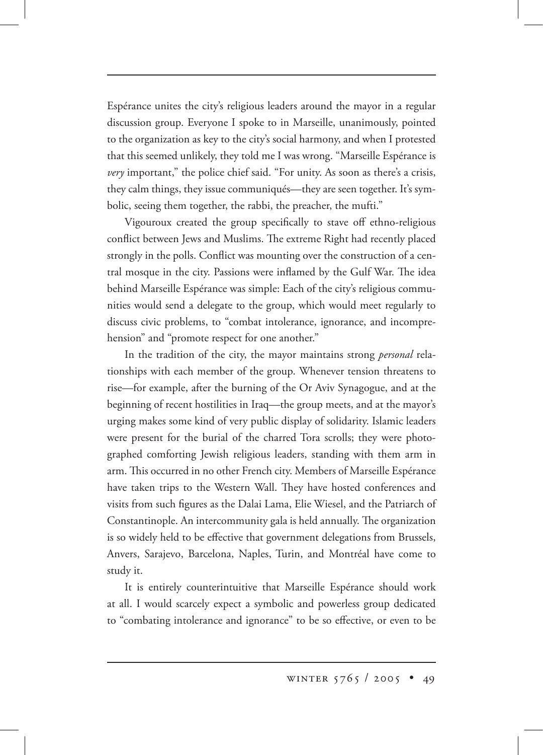Espérance unites the city's religious leaders around the mayor in a regular discussion group. Everyone I spoke to in Marseille, unanimously, pointed to the organization as key to the city's social harmony, and when I protested that this seemed unlikely, they told me I was wrong. "Marseille Espérance is *very* important," the police chief said. "For unity. As soon as there's a crisis, they calm things, they issue communiqués—they are seen together. It's symbolic, seeing them together, the rabbi, the preacher, the mufti."

Vigouroux created the group specifically to stave off ethno-religious conflict between Jews and Muslims. The extreme Right had recently placed strongly in the polls. Conflict was mounting over the construction of a central mosque in the city. Passions were inflamed by the Gulf War. The idea behind Marseille Espérance was simple: Each of the city's religious communities would send a delegate to the group, which would meet regularly to discuss civic problems, to "combat intolerance, ignorance, and incomprehension" and "promote respect for one another."

In the tradition of the city, the mayor maintains strong *personal* relationships with each member of the group. Whenever tension threatens to rise—for example, after the burning of the Or Aviv Synagogue, and at the beginning of recent hostilities in Iraq—the group meets, and at the mayor's urging makes some kind of very public display of solidarity. Islamic leaders were present for the burial of the charred Tora scrolls; they were photographed comforting Jewish religious leaders, standing with them arm in arm. This occurred in no other French city. Members of Marseille Espérance have taken trips to the Western Wall. They have hosted conferences and visits from such figures as the Dalai Lama, Elie Wiesel, and the Patriarch of Constantinople. An intercommunity gala is held annually. The organization is so widely held to be effective that government delegations from Brussels, Anvers, Sarajevo, Barcelona, Naples, Turin, and Montréal have come to study it.

It is entirely counterintuitive that Marseille Espérance should work at all. I would scarcely expect a symbolic and powerless group dedicated to "combating intolerance and ignorance" to be so effective, or even to be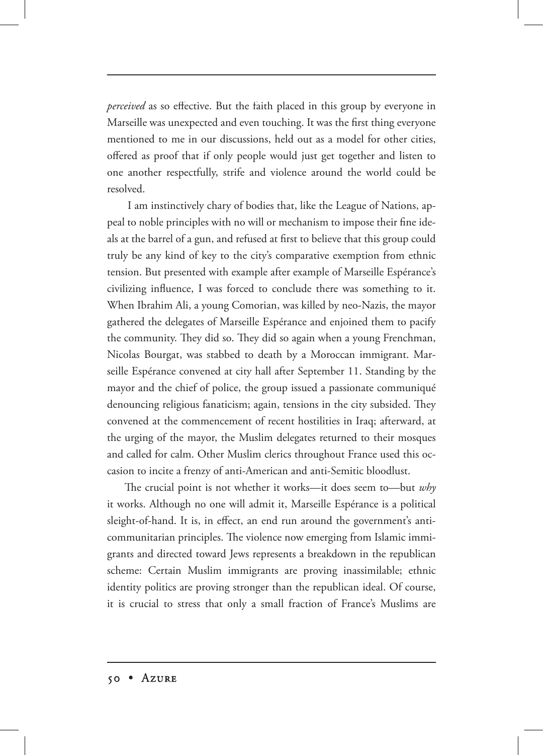*perceived* as so effective. But the faith placed in this group by everyone in Marseille was unexpected and even touching. It was the first thing everyone mentioned to me in our discussions, held out as a model for other cities, offered as proof that if only people would just get together and listen to one another respectfully, strife and violence around the world could be resolved.

 I am instinctively chary of bodies that, like the League of Nations, appeal to noble principles with no will or mechanism to impose their fine ideals at the barrel of a gun, and refused at first to believe that this group could truly be any kind of key to the city's comparative exemption from ethnic tension. But presented with example after example of Marseille Espérance's civilizing influence, I was forced to conclude there was something to it. When Ibrahim Ali, a young Comorian, was killed by neo-Nazis, the mayor gathered the delegates of Marseille Espérance and enjoined them to pacify the community. They did so. They did so again when a young Frenchman, Nicolas Bourgat, was stabbed to death by a Moroccan immigrant. Marseille Espérance convened at city hall after September 11. Standing by the mayor and the chief of police, the group issued a passionate communiqué denouncing religious fanaticism; again, tensions in the city subsided. They convened at the commencement of recent hostilities in Iraq; afterward, at the urging of the mayor, the Muslim delegates returned to their mosques and called for calm. Other Muslim clerics throughout France used this occasion to incite a frenzy of anti-American and anti-Semitic bloodlust.

The crucial point is not whether it works—it does seem to—but *why* it works. Although no one will admit it, Marseille Espérance is a political sleight-of-hand. It is, in effect, an end run around the government's anticommunitarian principles. The violence now emerging from Islamic immigrants and directed toward Jews represents a breakdown in the republican scheme: Certain Muslim immigrants are proving inassimilable; ethnic identity politics are proving stronger than the republican ideal. Of course, it is crucial to stress that only a small fraction of France's Muslims are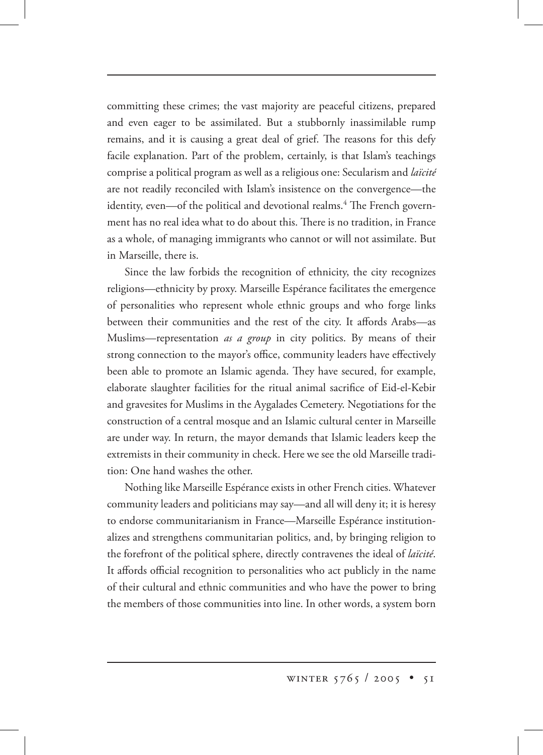committing these crimes; the vast majority are peaceful citizens, prepared and even eager to be assimilated. But a stubbornly inassimilable rump remains, and it is causing a great deal of grief. The reasons for this defy facile explanation. Part of the problem, certainly, is that Islam's teachings comprise a political program as well as a religious one: Secularism and *laïcité*  are not readily reconciled with Islam's insistence on the convergence—the identity, even—of the political and devotional realms.<sup>4</sup> The French government has no real idea what to do about this. There is no tradition, in France as a whole, of managing immigrants who cannot or will not assimilate. But in Marseille, there is.

Since the law forbids the recognition of ethnicity, the city recognizes religions—ethnicity by proxy. Marseille Espérance facilitates the emergence of personalities who represent whole ethnic groups and who forge links between their communities and the rest of the city. It affords Arabs—as Muslims—representation *as a group* in city politics. By means of their strong connection to the mayor's office, community leaders have effectively been able to promote an Islamic agenda. They have secured, for example, elaborate slaughter facilities for the ritual animal sacrifice of Eid-el-Kebir and gravesites for Muslims in the Aygalades Cemetery. Negotiations for the construction of a central mosque and an Islamic cultural center in Marseille are under way. In return, the mayor demands that Islamic leaders keep the extremists in their community in check. Here we see the old Marseille tradition: One hand washes the other.

Nothing like Marseille Espérance exists in other French cities. Whatever community leaders and politicians may say—and all will deny it; it is heresy to endorse communitarianism in France—Marseille Espérance institutionalizes and strengthens communitarian politics, and, by bringing religion to the forefront of the political sphere, directly contravenes the ideal of *laïcité*. It affords official recognition to personalities who act publicly in the name of their cultural and ethnic communities and who have the power to bring the members of those communities into line. In other words, a system born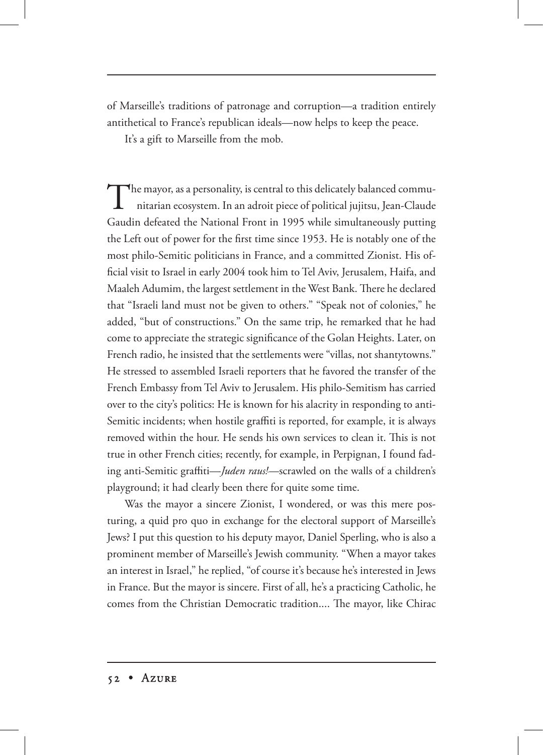of Marseille's traditions of patronage and corruption—a tradition entirely antithetical to France's republican ideals—now helps to keep the peace.

It's a gift to Marseille from the mob.

The mayor, as a personality, is central to this delicately balanced communitarian ecosystem. In an adroit piece of political jujitsu, Jean-Claude Gaudin defeated the National Front in 1995 while simultaneously putting the Left out of power for the first time since 1953. He is notably one of the most philo-Semitic politicians in France, and a committed Zionist. His official visit to Israel in early 2004 took him to Tel Aviv, Jerusalem, Haifa, and Maaleh Adumim, the largest settlement in the West Bank. There he declared that "Israeli land must not be given to others." "Speak not of colonies," he added, "but of constructions." On the same trip, he remarked that he had come to appreciate the strategic significance of the Golan Heights. Later, on French radio, he insisted that the settlements were "villas, not shantytowns." He stressed to assembled Israeli reporters that he favored the transfer of the French Embassy from Tel Aviv to Jerusalem. His philo-Semitism has carried over to the city's politics: He is known for his alacrity in responding to anti-Semitic incidents; when hostile graffiti is reported, for example, it is always removed within the hour. He sends his own services to clean it. This is not true in other French cities; recently, for example, in Perpignan, I found fading anti-Semitic graffiti—*Juden raus!*—scrawled on the walls of a children's playground; it had clearly been there for quite some time.

Was the mayor a sincere Zionist, I wondered, or was this mere posturing, a quid pro quo in exchange for the electoral support of Marseille's Jews? I put this question to his deputy mayor, Daniel Sperling, who is also a prominent member of Marseille's Jewish community. "When a mayor takes an interest in Israel," he replied, "of course it's because he's interested in Jews in France. But the mayor is sincere. First of all, he's a practicing Catholic, he comes from the Christian Democratic tradition.... The mayor, like Chirac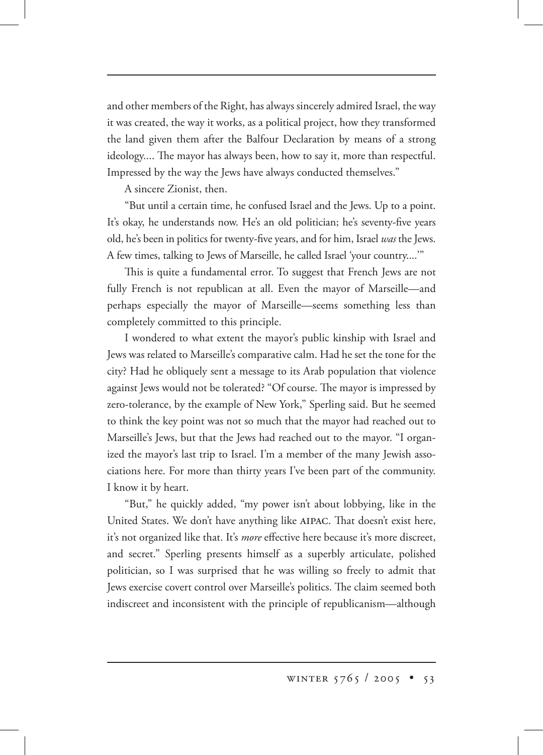and other members of the Right, has always sincerely admired Israel, the way it was created, the way it works, as a political project, how they transformed the land given them after the Balfour Declaration by means of a strong ideology.... The mayor has always been, how to say it, more than respectful. Impressed by the way the Jews have always conducted themselves."

A sincere Zionist, then.

"But until a certain time, he confused Israel and the Jews. Up to a point. It's okay, he understands now. He's an old politician; he's seventy-five years old, he's been in politics for twenty-five years, and for him, Israel *was* the Jews. A few times, talking to Jews of Marseille, he called Israel 'your country....'"

This is quite a fundamental error. To suggest that French Jews are not fully French is not republican at all. Even the mayor of Marseille—and perhaps especially the mayor of Marseille—seems something less than completely committed to this principle.

I wondered to what extent the mayor's public kinship with Israel and Jews was related to Marseille's comparative calm. Had he set the tone for the city? Had he obliquely sent a message to its Arab population that violence against Jews would not be tolerated? "Of course. The mayor is impressed by zero-tolerance, by the example of New York," Sperling said. But he seemed to think the key point was not so much that the mayor had reached out to Marseille's Jews, but that the Jews had reached out to the mayor. "I organized the mayor's last trip to Israel. I'm a member of the many Jewish associations here. For more than thirty years I've been part of the community. I know it by heart.

"But," he quickly added, "my power isn't about lobbying, like in the United States. We don't have anything like AIPAC. That doesn't exist here, it's not organized like that. It's *more* effective here because it's more discreet, and secret." Sperling presents himself as a superbly articulate, polished politician, so I was surprised that he was willing so freely to admit that Jews exercise covert control over Marseille's politics. The claim seemed both indiscreet and inconsistent with the principle of republicanism—although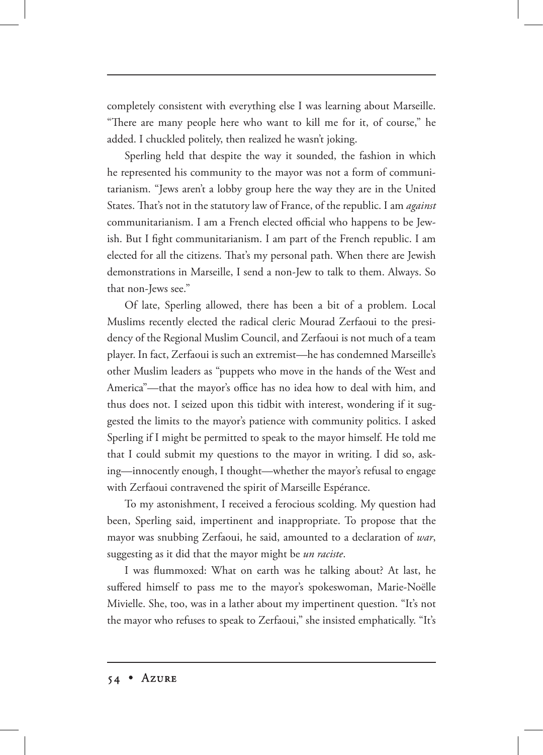completely consistent with everything else I was learning about Marseille. "There are many people here who want to kill me for it, of course," he added. I chuckled politely, then realized he wasn't joking.

Sperling held that despite the way it sounded, the fashion in which he represented his community to the mayor was not a form of communitarianism. "Jews aren't a lobby group here the way they are in the United States. That's not in the statutory law of France, of the republic. I am *against* communitarianism. I am a French elected official who happens to be Jewish. But I fight communitarianism. I am part of the French republic. I am elected for all the citizens. That's my personal path. When there are Jewish demonstrations in Marseille, I send a non-Jew to talk to them. Always. So that non-Jews see."

Of late, Sperling allowed, there has been a bit of a problem. Local Muslims recently elected the radical cleric Mourad Zerfaoui to the presidency of the Regional Muslim Council, and Zerfaoui is not much of a team player. In fact, Zerfaoui is such an extremist—he has condemned Marseille's other Muslim leaders as "puppets who move in the hands of the West and America"—that the mayor's office has no idea how to deal with him, and thus does not. I seized upon this tidbit with interest, wondering if it suggested the limits to the mayor's patience with community politics. I asked Sperling if I might be permitted to speak to the mayor himself. He told me that I could submit my questions to the mayor in writing. I did so, asking—innocently enough, I thought—whether the mayor's refusal to engage with Zerfaoui contravened the spirit of Marseille Espérance.

To my astonishment, I received a ferocious scolding. My question had been, Sperling said, impertinent and inappropriate. To propose that the mayor was snubbing Zerfaoui, he said, amounted to a declaration of *war*, suggesting as it did that the mayor might be *un raciste*.

I was flummoxed: What on earth was he talking about? At last, he suffered himself to pass me to the mayor's spokeswoman, Marie-Noëlle Mivielle. She, too, was in a lather about my impertinent question. "It's not the mayor who refuses to speak to Zerfaoui," she insisted emphatically. "It's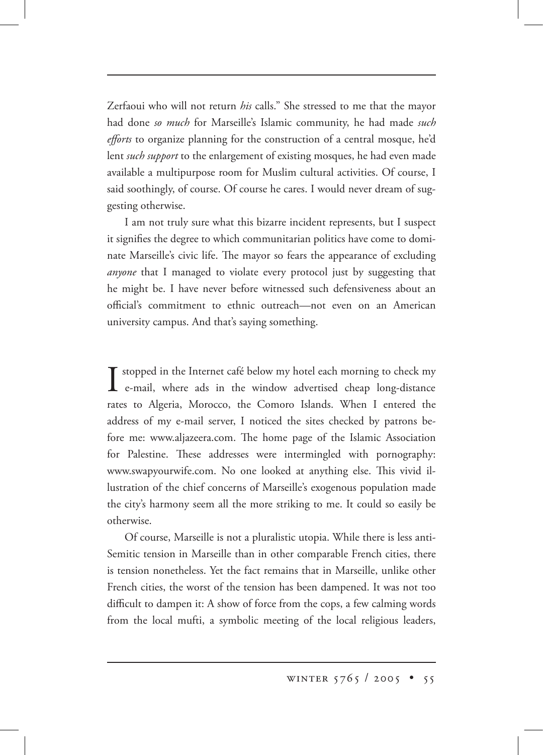Zerfaoui who will not return *his* calls." She stressed to me that the mayor had done *so much* for Marseille's Islamic community, he had made *such efforts* to organize planning for the construction of a central mosque, he'd lent *such support* to the enlargement of existing mosques, he had even made available a multipurpose room for Muslim cultural activities. Of course, I said soothingly, of course. Of course he cares. I would never dream of suggesting otherwise.

I am not truly sure what this bizarre incident represents, but I suspect it signifies the degree to which communitarian politics have come to dominate Marseille's civic life. The mayor so fears the appearance of excluding *anyone* that I managed to violate every protocol just by suggesting that he might be. I have never before witnessed such defensiveness about an official's commitment to ethnic outreach—not even on an American university campus. And that's saying something.

I stopped in the Internet café below my hotel each morning to check my<br>e-mail, where ads in the window advertised cheap long-distance stopped in the Internet café below my hotel each morning to check my rates to Algeria, Morocco, the Comoro Islands. When I entered the address of my e-mail server, I noticed the sites checked by patrons before me: www.aljazeera.com. The home page of the Islamic Association for Palestine. These addresses were intermingled with pornography: www.swapyourwife.com. No one looked at anything else. This vivid illustration of the chief concerns of Marseille's exogenous population made the city's harmony seem all the more striking to me. It could so easily be otherwise.

Of course, Marseille is not a pluralistic utopia. While there is less anti-Semitic tension in Marseille than in other comparable French cities, there is tension nonetheless. Yet the fact remains that in Marseille, unlike other French cities, the worst of the tension has been dampened. It was not too difficult to dampen it: A show of force from the cops, a few calming words from the local mufti, a symbolic meeting of the local religious leaders,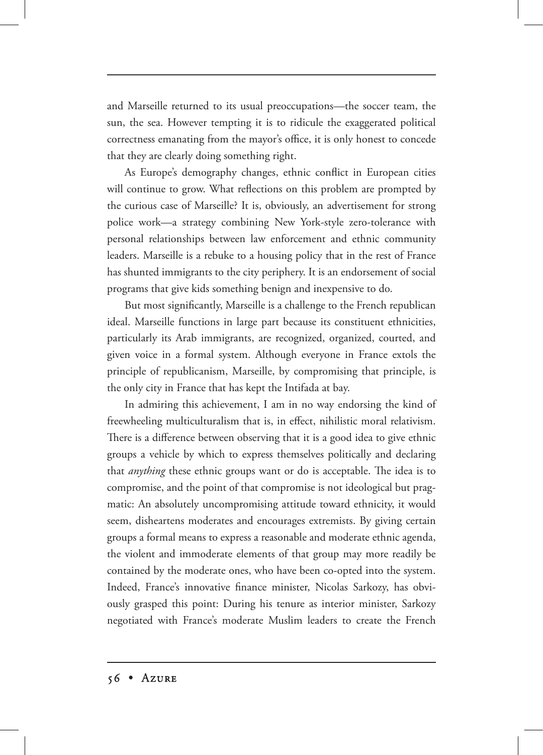and Marseille returned to its usual preoccupations—the soccer team, the sun, the sea. However tempting it is to ridicule the exaggerated political correctness emanating from the mayor's office, it is only honest to concede that they are clearly doing something right.

As Europe's demography changes, ethnic conflict in European cities will continue to grow. What reflections on this problem are prompted by the curious case of Marseille? It is, obviously, an advertisement for strong police work—a strategy combining New York-style zero-tolerance with personal relationships between law enforcement and ethnic community leaders. Marseille is a rebuke to a housing policy that in the rest of France has shunted immigrants to the city periphery. It is an endorsement of social programs that give kids something benign and inexpensive to do.

But most significantly, Marseille is a challenge to the French republican ideal. Marseille functions in large part because its constituent ethnicities, particularly its Arab immigrants, are recognized, organized, courted, and given voice in a formal system. Although everyone in France extols the principle of republicanism, Marseille, by compromising that principle, is the only city in France that has kept the Intifada at bay.

In admiring this achievement, I am in no way endorsing the kind of freewheeling multiculturalism that is, in effect, nihilistic moral relativism. There is a difference between observing that it is a good idea to give ethnic groups a vehicle by which to express themselves politically and declaring that *anything* these ethnic groups want or do is acceptable. The idea is to compromise, and the point of that compromise is not ideological but pragmatic: An absolutely uncompromising attitude toward ethnicity, it would seem, disheartens moderates and encourages extremists. By giving certain groups a formal means to express a reasonable and moderate ethnic agenda, the violent and immoderate elements of that group may more readily be contained by the moderate ones, who have been co-opted into the system. Indeed, France's innovative finance minister, Nicolas Sarkozy, has obviously grasped this point: During his tenure as interior minister, Sarkozy negotiated with France's moderate Muslim leaders to create the French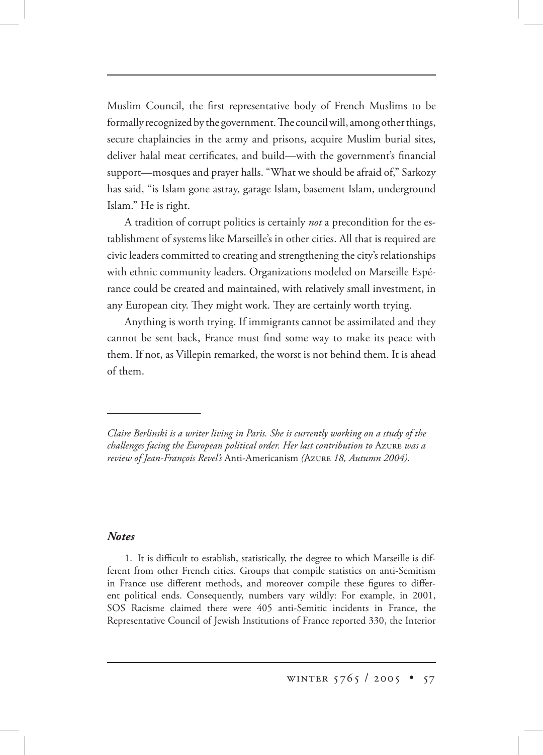Muslim Council, the first representative body of French Muslims to be formally recognized by the government. The council will, among other things, secure chaplaincies in the army and prisons, acquire Muslim burial sites, deliver halal meat certificates, and build—with the government's financial support—mosques and prayer halls. "What we should be afraid of," Sarkozy has said, "is Islam gone astray, garage Islam, basement Islam, underground Islam." He is right.

A tradition of corrupt politics is certainly *not* a precondition for the establishment of systems like Marseille's in other cities. All that is required are civic leaders committed to creating and strengthening the city's relationships with ethnic community leaders. Organizations modeled on Marseille Espérance could be created and maintained, with relatively small investment, in any European city. They might work. They are certainly worth trying.

Anything is worth trying. If immigrants cannot be assimilated and they cannot be sent back, France must find some way to make its peace with them. If not, as Villepin remarked, the worst is not behind them. It is ahead of them.

## *Notes*

1. It is difficult to establish, statistically, the degree to which Marseille is different from other French cities. Groups that compile statistics on anti-Semitism in France use different methods, and moreover compile these figures to different political ends. Consequently, numbers vary wildly: For example, in 2001, SOS Racisme claimed there were 405 anti-Semitic incidents in France, the Representative Council of Jewish Institutions of France reported 330, the Interior

*Claire Berlinski is a writer living in Paris. She is currently working on a study of the challenges facing the European political order. Her last contribution to AzURE was a review of Jean-François Revel's* Anti-Americanism *(*A *18, Autumn 2004).*